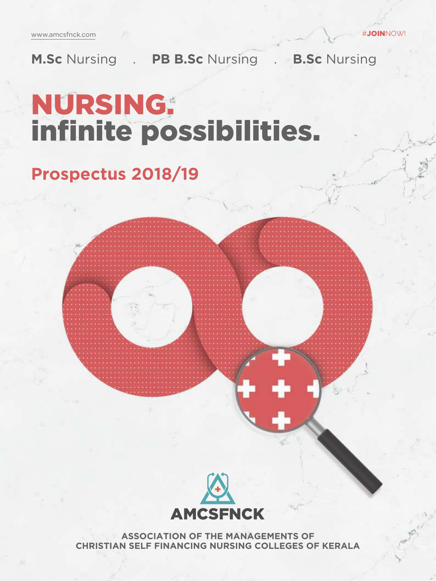www.amcsfnck.com

**M.Sc** Nursing . **PB B.Sc** Nursing . **B.Sc** Nursing

# NURSING. infinite possibilities.

## **Prospectus 2018/19**



**ASSOCIATION OF THE MANAGEMENTS OF CHRISTIAN SELF FINANCING NURSING COLLEGES OF KERALA**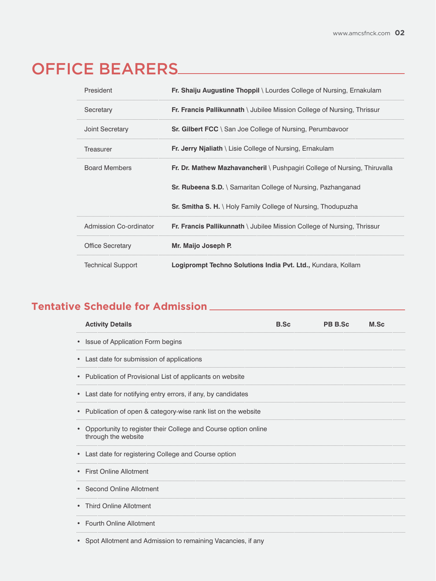## OFFICE BEARERS

| President                | Fr. Shaiju Augustine Thoppil \ Lourdes College of Nursing, Ernakulam      |
|--------------------------|---------------------------------------------------------------------------|
| Secretary                | Fr. Francis Pallikunnath \ Jubilee Mission College of Nursing, Thrissur   |
| <b>Joint Secretary</b>   | <b>Sr. Gilbert FCC</b> \ San Joe College of Nursing, Perumbayoor          |
| Treasurer                | Fr. Jerry Njaliath \ Lisie College of Nursing, Ernakulam                  |
| <b>Board Members</b>     | Fr. Dr. Mathew Mazhavancheril \ Pushpagiri College of Nursing, Thiruvalla |
|                          | <b>Sr. Rubeena S.D.</b> \ Samaritan College of Nursing, Pazhanganad       |
|                          | <b>Sr. Smitha S. H.</b> \ Holy Family College of Nursing, Thodupuzha      |
| Admission Co-ordinator   | Fr. Francis Pallikunnath \ Jubilee Mission College of Nursing, Thrissur   |
| <b>Office Secretary</b>  | Mr. Maijo Joseph P.                                                       |
| <b>Technical Support</b> | Logiprompt Techno Solutions India Pvt. Ltd., Kundara, Kollam              |

### **Tentative Schedule for Admission**

| <b>Activity Details</b>                                                               | <b>B.Sc</b> | <b>PB B.Sc</b> | M.Sc |
|---------------------------------------------------------------------------------------|-------------|----------------|------|
| Issue of Application Form begins                                                      |             |                |      |
| Last date for submission of applications                                              |             |                |      |
| Publication of Provisional List of applicants on website                              |             |                |      |
| Last date for notifying entry errors, if any, by candidates                           |             |                |      |
| Publication of open & category-wise rank list on the website                          |             |                |      |
| Opportunity to register their College and Course option online<br>through the website |             |                |      |
| Last date for registering College and Course option                                   |             |                |      |
| <b>First Online Allotment</b>                                                         |             |                |      |
| • Second Online Allotment                                                             |             |                |      |
| • Third Online Allotment                                                              |             |                |      |
| <b>Fourth Online Allotment</b>                                                        |             |                |      |
| Spot Allotment and Admission to remaining Vacancies, if any                           |             |                |      |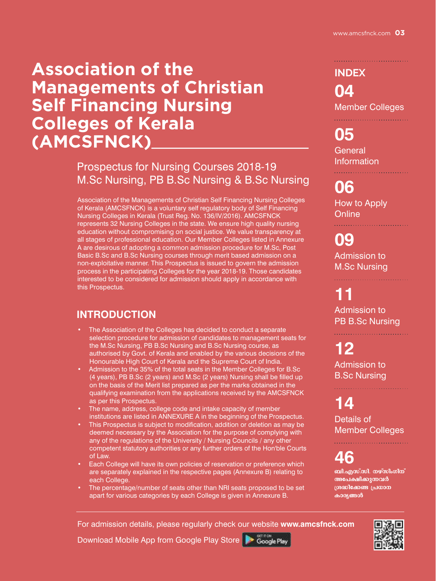## **Association of the Managements of Christian Self Financing Nursing Colleges of Kerala (AMCSFNCK)**

### Prospectus for Nursing Courses 2018-19 M.Sc Nursing, PB B.Sc Nursing & B.Sc Nursing

Association of the Managements of Christian Self Financing Nursing Colleges of Kerala (AMCSFNCK) is a voluntary self regulatory body of Self Financing Nursing Colleges in Kerala (Trust Reg. No. 136/IV/2016). AMCSFNCK represents 32 Nursing Colleges in the state. We ensure high quality nursing education without compromising on social justice. We value transparency at all stages of professional education. Our Member Colleges listed in Annexure A are desirous of adopting a common admission procedure for M.Sc, Post Basic B.Sc and B.Sc Nursing courses through merit based admission on a non-exploitative manner. This Prospectus is issued to govern the admission process in the participating Colleges for the year 2018-19. Those candidates interested to be considered for admission should apply in accordance with this Prospectus.

### **INTRODUCTION**

- The Association of the Colleges has decided to conduct a separate selection procedure for admission of candidates to management seats for the M.Sc Nursing, PB B.Sc Nursing and B.Sc Nursing course, as authorised by Govt. of Kerala and enabled by the various decisions of the Honourable High Court of Kerala and the Supreme Court of India.
- Admission to the 35% of the total seats in the Member Colleges for B.Sc (4 years), PB B.Sc (2 years) and M.Sc (2 years) Nursing shall be filled up on the basis of the Merit list prepared as per the marks obtained in the qualifying examination from the applications received by the AMCSFNCK as per this Prospectus.
- The name, address, college code and intake capacity of member institutions are listed in ANNEXURE A in the beginning of the Prospectus.
- This Prospectus is subject to modification, addition or deletion as may be deemed necessary by the Association for the purpose of complying with any of the regulations of the University / Nursing Councils / any other competent statutory authorities or any further orders of the Hon'ble Courts of Law.
- Each College will have its own policies of reservation or preference which are separately explained in the respective pages (Annexure B) relating to each College.
- The percentage/number of seats other than NRI seats proposed to be set apart for various categories by each College is given in Annexure B.

**INDEX 04** Member Colleges

**05 General** Information

**06**

How to Apply **Online** 

**09** Admission to M.Sc Nursing

## **11**

Admission to PB B.Sc Nursing

**12** Admission to B.Sc Nursing

**14** Details of Member Colleges

**46**

**ബി.എസ്.സി. നഴ്സിംഗിന് അപേക്ഷിക്കുന്നവർ {***i*ont} **{**  $\alpha$ } കാര്യങ്ങൾ



For admission details, please regularly check our website **www.amcsfnck.com** 

Download Mobile App from Google Play Store

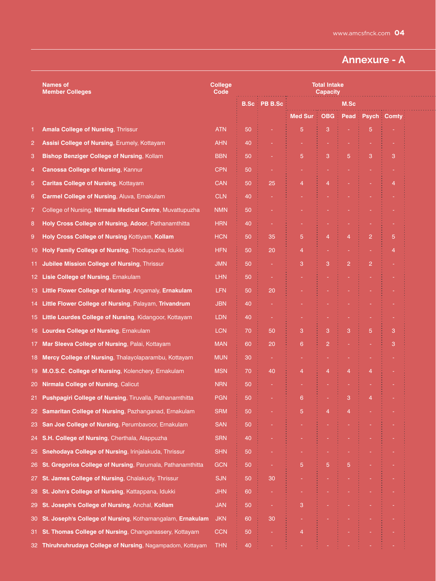### **Annexure - A**

|     | <b>Names of</b><br><b>Member Colleges</b>                       | <b>College</b><br><b>Code</b> | <b>Total Intake</b><br><b>Capacity</b> |                     |                |                |                |                |                    |  |
|-----|-----------------------------------------------------------------|-------------------------------|----------------------------------------|---------------------|----------------|----------------|----------------|----------------|--------------------|--|
|     |                                                                 |                               |                                        | <b>B.Sc PB B.Sc</b> |                |                | M.Sc           |                |                    |  |
|     |                                                                 |                               |                                        |                     | <b>Med Sur</b> | <b>OBG</b>     | Pead           |                | <b>Psych Comty</b> |  |
| 1.  | <b>Amala College of Nursing, Thrissur</b>                       | <b>ATN</b>                    | 50                                     |                     | 5              | 3              |                | 5              |                    |  |
| 2   | Assisi College of Nursing, Erumely, Kottayam                    | <b>AHN</b>                    | 40                                     |                     |                |                |                |                |                    |  |
| 3   | Bishop Benziger College of Nursing, Kollam                      | <b>BBN</b>                    | 50                                     |                     | 5              | 3              | 5              | 3              | 3                  |  |
| 4   | <b>Canossa College of Nursing, Kannur</b>                       | <b>CPN</b>                    | 50                                     |                     |                |                |                |                |                    |  |
| 5   | <b>Caritas College of Nursing, Kottayam</b>                     | <b>CAN</b>                    | 50                                     | 25                  | 4              | 4              |                |                | 4                  |  |
| 6   | Carmel College of Nursing, Aluva, Ernakulam                     | <b>CLN</b>                    | 40                                     |                     |                |                |                |                |                    |  |
| 7   | College of Nursing, Nirmala Medical Centre, Muvattupuzha        | <b>NMN</b>                    | 50                                     |                     |                |                |                |                |                    |  |
| 8   | Holy Cross College of Nursing, Adoor, Pathanamthitta            | <b>HRN</b>                    | 40                                     |                     |                |                |                |                |                    |  |
| 9   | Holy Cross College of Nursing Kottiyam, Kollam                  | <b>HCN</b>                    | 50                                     | 35                  | 5              | $\overline{4}$ | $\overline{4}$ | $\overline{2}$ | 5                  |  |
|     | 10 Holy Family College of Nursing, Thodupuzha, Idukki           | <b>HFN</b>                    | 50                                     | 20                  | 4              |                |                |                | 4                  |  |
| 11. | <b>Jubilee Mission College of Nursing, Thrissur</b>             | <b>JMN</b>                    | 50                                     |                     | 3              | 3              | $\overline{2}$ | $\overline{2}$ |                    |  |
|     | 12 Lisie College of Nursing, Ernakulam                          | <b>LHN</b>                    | 50                                     |                     |                |                |                |                |                    |  |
| 13. | Little Flower College of Nursing, Angamaly, Ernakulam           | <b>LFN</b>                    | 50                                     | 20                  |                |                |                |                |                    |  |
| 14. | Little Flower College of Nursing, Palayam, Trivandrum           | <b>JBN</b>                    | 40                                     |                     |                |                |                |                |                    |  |
|     | 15 Little Lourdes College of Nursing, Kidangoor, Kottayam       | <b>LDN</b>                    | 40                                     |                     |                |                |                |                |                    |  |
|     | 16 Lourdes College of Nursing, Ernakulam                        | <b>LCN</b>                    | 70                                     | 50                  | 3              | 3              | 3              | 5              | 3                  |  |
|     | 17 Mar Sleeva College of Nursing, Palai, Kottayam               | <b>MAN</b>                    | 60                                     | 20                  | 6              | $\overline{2}$ |                |                | 3                  |  |
|     | 18 Mercy College of Nursing, Thalayolaparambu, Kottayam         | <b>MUN</b>                    | 30                                     |                     |                |                |                |                |                    |  |
| 19. | M.O.S.C. College of Nursing, Kolenchery, Ernakulam              | <b>MSN</b>                    | 70                                     | 40                  | 4              | 4              | $\overline{4}$ | 4              |                    |  |
|     | 20 Nirmala College of Nursing, Calicut                          | <b>NRN</b>                    | 50                                     |                     |                |                |                |                |                    |  |
| 21. | <b>Pushpagiri College of Nursing, Tiruvalla, Pathanamthitta</b> | <b>PGN</b>                    | 50                                     |                     | 6              |                | 3              | 4              |                    |  |
|     | 22 Samaritan College of Nursing, Pazhanganad, Ernakulam         | <b>SRM</b>                    | 50                                     |                     | 5              | 4              | $\overline{4}$ |                |                    |  |
|     | 23 San Joe College of Nursing, Perumbavoor, Ernakulam           | <b>SAN</b>                    | 50                                     |                     |                |                |                |                |                    |  |
|     | 24 S.H. College of Nursing, Cherthala, Alappuzha                | <b>SRN</b>                    | 40                                     |                     |                |                |                |                |                    |  |
|     | 25 Snehodaya College of Nursing, Irinjalakuda, Thrissur         | <b>SHN</b>                    | 50                                     |                     |                |                |                |                |                    |  |
|     | 26 St. Gregorios College of Nursing, Parumala, Pathanamthitta   | <b>GCN</b>                    | 50                                     |                     | 5              | 5              | $\overline{5}$ |                |                    |  |
|     | 27 St. James College of Nursing, Chalakudy, Thrissur            | <b>SJN</b>                    | 50                                     | 30                  |                |                |                |                |                    |  |
|     | 28 St. John's College of Nursing, Kattappana, Idukki            | <b>JHN</b>                    | 60                                     |                     |                |                |                |                |                    |  |
|     | 29 St. Joseph's College of Nursing, Anchal, Kollam              | <b>JAN</b>                    | 50                                     | ÷                   | 3              |                |                |                |                    |  |
|     | 30 St. Joseph's College of Nursing, Kothamangalam, Ernakulam    | <b>JKN</b>                    | 60                                     | 30                  |                |                |                |                |                    |  |
|     | 31 St. Thomas College of Nursing, Changanassery, Kottayam       | <b>CCN</b>                    | 50                                     |                     | 4              |                |                |                |                    |  |
|     | 32 Thiruhruhrudaya College of Nursing, Nagampadom, Kottayam     | <b>THN</b>                    | 40                                     |                     |                |                |                |                |                    |  |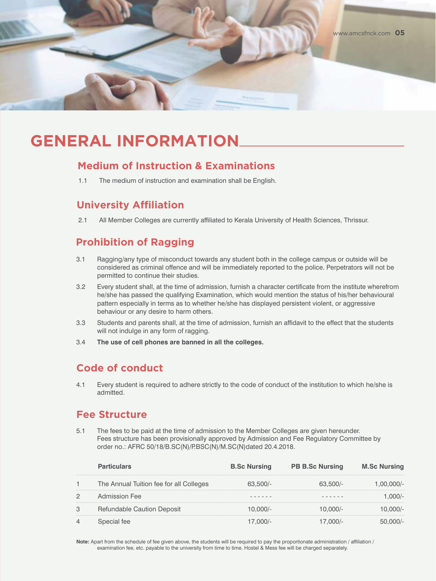

## **GENERAL INFORMATION**

#### **Medium of Instruction & Examinations**

1.1 The medium of instruction and examination shall be English.

#### **University Affiliation**

2.1 All Member Colleges are currently affiliated to Kerala University of Health Sciences, Thrissur.

### **Prohibition of Ragging**

- 3.1 Ragging/any type of misconduct towards any student both in the college campus or outside will be considered as criminal offence and will be immediately reported to the police. Perpetrators will not be permitted to continue their studies.
- 3.2 Every student shall, at the time of admission, furnish a character certificate from the institute wherefrom he/she has passed the qualifying Examination, which would mention the status of his/her behavioural pattern especially in terms as to whether he/she has displayed persistent violent, or aggressive behaviour or any desire to harm others.
- 3.3 Students and parents shall, at the time of admission, furnish an affidavit to the effect that the students will not indulge in any form of ragging.
- 3.4 **The use of cell phones are banned in all the colleges.**

#### **Code of conduct**

4.1 Every student is required to adhere strictly to the code of conduct of the institution to which he/she is admitted.

#### **Fee Structure**

5.1 The fees to be paid at the time of admission to the Member Colleges are given hereunder. Fees structure has been provisionally approved by Admission and Fee Regulatory Committee by order no.: AFRC 50/18/B.SC(N)/P.BSC(N)/M.SC(N)dated 20.4.2018.

|   | <b>Particulars</b>                      | <b>B.Sc Nursing</b> | <b>PB B.Sc Nursing</b> | <b>M.Sc Nursing</b> |
|---|-----------------------------------------|---------------------|------------------------|---------------------|
|   | The Annual Tuition fee for all Colleges |                     |                        |                     |
| 2 | Admission Fee                           |                     |                        |                     |
| 3 | Refundable Caution Deposit              |                     |                        |                     |
|   |                                         |                     |                        |                     |

Note: Apart from the schedule of fee given above, the students will be required to pay the proportionate administration / affiliation / examination fee, etc. payable to the university from time to time. Hostel & Mess fee will be charged separately.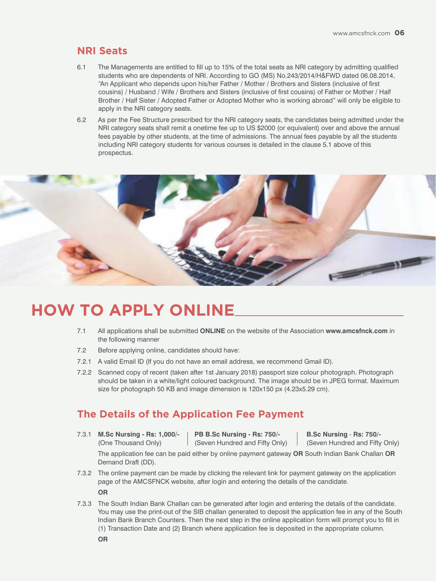#### **NRI Seats**

- 6.1 The Managements are entitled to fill up to 15% of the total seats as NRI category by admitting qualified students who are dependents of NRI. According to GO (MS) No.243/2014/H&FWD dated 06.08.2014, "An Applicant who depends upon his/her Father / Mother / Brothers and Sisters (inclusive of first cousins) / Husband / Wife / Brothers and Sisters (inclusive of first cousins) of Father or Mother / Half Brother / Half Sister / Adopted Father or Adopted Mother who is working abroad" will only be eligible to apply in the NRI category seats.
- 6.2 As per the Fee Structure prescribed for the NRI category seats, the candidates being admitted under the NRI category seats shall remit a onetime fee up to US \$2000 (or equivalent) over and above the annual fees payable by other students, at the time of admissions. The annual fees payable by all the students including NRI category students for various courses is detailed in the clause 5.1 above of this prospectus.



## **HOW TO APPLY ONLINE**

- 7.1 All applications shall be submitted **ONLINE** on the website of the Association **www.amcsfnck.com** in the following manner
- 7.2 Before applying online, candidates should have:
- 7.2.1 A valid Email ID (If you do not have an email address, we recommend Gmail ID).
- 7.2.2 Scanned copy of recent (taken after 1st January 2018) passport size colour photograph. Photograph should be taken in a white/light coloured background. The image should be in JPEG format. Maximum size for photograph 50 KB and image dimension is 120x150 px (4.23x5.29 cm).

#### **The Details of the Application Fee Payment**

7.3.1 **M.Sc Nursing - Rs: 1,000/- PB B.Sc Nursing - Rs: 750/- B.Sc Nursing** - **Rs: 750/-**

(One Thousand Only) (Seven Hundred and Fifty Only) (Seven Hundred and Fifty Only)

The application fee can be paid either by online payment gateway **OR** South Indian Bank Challan **OR** Demand Draft (DD).

7.3.2 The online payment can be made by clicking the relevant link for payment gateway on the application page of the AMCSFNCK website, after login and entering the details of the candidate.

**OR**

7.3.3 The South Indian Bank Challan can be generated after login and entering the details of the candidate. You may use the print-out of the SIB challan generated to deposit the application fee in any of the South Indian Bank Branch Counters. Then the next step in the online application form will prompt you to fill in (1) Transaction Date and (2) Branch where application fee is deposited in the appropriate column.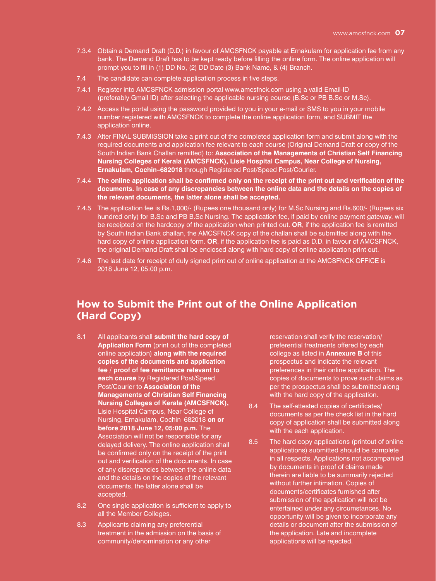- 7.3.4 Obtain a Demand Draft (D.D.) in favour of AMCSFNCK payable at Ernakulam for application fee from any bank. The Demand Draft has to be kept ready before filling the online form. The online application will prompt you to fill in (1) DD No, (2) DD Date (3) Bank Name, & (4) Branch.
- 7.4 The candidate can complete application process in five steps.
- 7.4.1 Register into AMCSFNCK admission portal www.amcsfnck.com using a valid Email-ID (preferably Gmail ID) after selecting the applicable nursing course (B.Sc or PB B.Sc or M.Sc).
- 7.4.2 Access the portal using the password provided to you in your e-mail or SMS to you in your mobile number registered with AMCSFNCK to complete the online application form, and SUBMIT the application online.
- 7.4.3 After FINAL SUBMISSION take a print out of the completed application form and submit along with the required documents and application fee relevant to each course (Original Demand Draft or copy of the South Indian Bank Challan remitted) to: **Association of the Managements of Christian Self Financing Nursing Colleges of Kerala (AMCSFNCK), Lisie Hospital Campus, Near College of Nursing, Ernakulam, Cochin–682018** through Registered Post/Speed Post/Courier.
- 7.4.4 **The online application shall be confirmed only on the receipt of the print out and verification of the documents. In case of any discrepancies between the online data and the details on the copies of the relevant documents, the latter alone shall be accepted.**
- 7.4.5 The application fee is Rs.1,000/- (Rupees one thousand only) for M.Sc Nursing and Rs.600/- (Rupees six hundred only) for B.Sc and PB B.Sc Nursing. The application fee, if paid by online payment gateway, will be receipted on the hardcopy of the application when printed out. **OR**, if the application fee is remitted by South Indian Bank challan, the AMCSFNCK copy of the challan shall be submitted along with the hard copy of online application form. **OR**, if the application fee is paid as D.D. in favour of AMCSFNCK, the original Demand Draft shall be enclosed along with hard copy of online application print out.
- 7.4.6 The last date for receipt of duly signed print out of online application at the AMCSFNCK OFFICE is 2018 June 12, 05:00 p.m.

### **How to Submit the Print out of the Online Application (Hard Copy)**

- 8.1 All applicants shall **submit the hard copy of Application Form** (print out of the completed online application) **along with the required copies of the documents and application fee / proof of fee remittance relevant to each course** by Registered Post/Speed Post/Courier to **Association of the Managements of Christian Self Financing Nursing Colleges of Kerala (AMCSFNCK),**  Lisie Hospital Campus, Near College of Nursing, Ernakulam, Cochin–682018 **on or before 2018 June 12, 05:00 p.m.** The Association will not be responsible for any delayed delivery. The online application shall be confirmed only on the receipt of the print out and verification of the documents. In case of any discrepancies between the online data and the details on the copies of the relevant documents, the latter alone shall be accepted.
- 8.2 One single application is sufficient to apply to all the Member Colleges.
- 8.3 Applicants claiming any preferential treatment in the admission on the basis of community/denomination or any other

reservation shall verify the reservation/ preferential treatments offered by each college as listed in **Annexure B** of this prospectus and indicate the relevant preferences in their online application. The copies of documents to prove such claims as per the prospectus shall be submitted along with the hard copy of the application.

- 8.4 The self-attested copies of certificates/ documents as per the check list in the hard copy of application shall be submitted along with the each application.
- 8.5 The hard copy applications (printout of online applications) submitted should be complete in all respects. Applications not accompanied by documents in proof of claims made therein are liable to be summarily rejected without further intimation. Copies of documents/certificates furnished after submission of the application will not be entertained under any circumstances. No opportunity will be given to incorporate any details or document after the submission of the application. Late and incomplete applications will be rejected.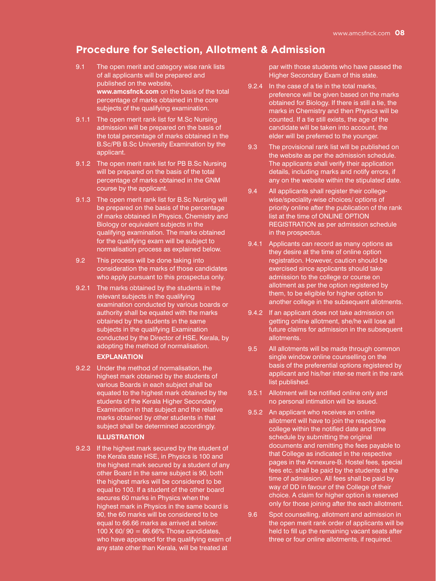#### **Procedure for Selection, Allotment & Admission**

- 9.1 The open merit and category wise rank lists of all applicants will be prepared and published on the website, **www.amcsfnck.com** on the basis of the total percentage of marks obtained in the core subjects of the qualifying examination.
- 9.1.1 The open merit rank list for M.Sc Nursing admission will be prepared on the basis of the total percentage of marks obtained in the B.Sc/PB B.Sc University Examination by the applicant.
- 9.1.2 The open merit rank list for PB B.Sc Nursing will be prepared on the basis of the total percentage of marks obtained in the GNM course by the applicant.
- 9.1.3 The open merit rank list for B.Sc Nursing will be prepared on the basis of the percentage of marks obtained in Physics, Chemistry and Biology or equivalent subjects in the qualifying examination. The marks obtained for the qualifying exam will be subject to normalisation process as explained below.
- 9.2 This process will be done taking into consideration the marks of those candidates who apply pursuant to this prospectus only.
- 9.2.1 The marks obtained by the students in the relevant subjects in the qualifying examination conducted by various boards or authority shall be equated with the marks obtained by the students in the same subjects in the qualifying Examination conducted by the Director of HSE, Kerala, by adopting the method of normalisation.

#### **EXPLANATION**

9.2.2 Under the method of normalisation, the highest mark obtained by the students of various Boards in each subject shall be equated to the highest mark obtained by the students of the Kerala Higher Secondary Examination in that subject and the relative marks obtained by other students in that subject shall be determined accordingly.

#### **ILLUSTRATION**

9.2.3 If the highest mark secured by the student of the Kerala state HSE, in Physics is 100 and the highest mark secured by a student of any other Board in the same subject is 90, both the highest marks will be considered to be equal to 100. If a student of the other board secures 60 marks in Physics when the highest mark in Physics in the same board is 90, the 60 marks will be considered to be equal to 66.66 marks as arrived at below: 100 X 60/ 90 = 66.66% Those candidates, who have appeared for the qualifying exam of any state other than Kerala, will be treated at

par with those students who have passed the Higher Secondary Exam of this state.

- 9.2.4 In the case of a tie in the total marks, preference will be given based on the marks obtained for Biology. If there is still a tie, the marks in Chemistry and then Physics will be counted. If a tie still exists, the age of the candidate will be taken into account, the elder will be preferred to the younger.
- 9.3 The provisional rank list will be published on the website as per the admission schedule. The applicants shall verify their application details, including marks and notify errors, if any on the website within the stipulated date.
- 9.4 All applicants shall register their collegewise/speciality-wise choices/ options of priority online after the publication of the rank list at the time of ONLINE OPTION REGISTRATION as per admission schedule in the prospectus.
- 9.4.1 Applicants can record as many options as they desire at the time of online option registration. However, caution should be exercised since applicants should take admission to the college or course on allotment as per the option registered by them, to be eligible for higher option to another college in the subsequent allotments.
- 9.4.2 If an applicant does not take admission on getting online allotment, she/he will lose all future claims for admission in the subsequent allotments.
- 9.5 All allotments will be made through common single window online counselling on the basis of the preferential options registered by applicant and his/her inter-se merit in the rank list published.
- 9.5.1 Allotment will be notified online only and no personal intimation will be issued.
- 9.5.2 An applicant who receives an online allotment will have to join the respective college within the notified date and time schedule by submitting the original documents and remitting the fees payable to that College as indicated in the respective pages in the Annexure-B. Hostel fees, special fees etc. shall be paid by the students at the time of admission. All fees shall be paid by way of DD in favour of the College of their choice. A claim for higher option is reserved only for those joining after the each allotment.
- 9.6 Spot counselling, allotment and admission in the open merit rank order of applicants will be held to fill up the remaining vacant seats after three or four online allotments, if required.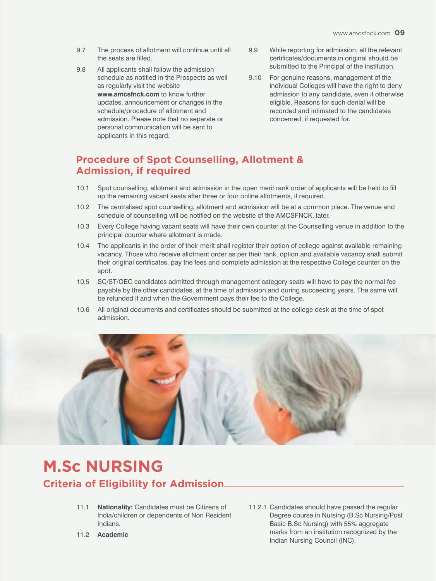- 9.7 The process of allotment will continue until all the seats are filled.
- 9.8 All applicants shall follow the admission schedule as notified in the Prospects as well as regularly visit the website **www.amcsfnck.com** to know further updates, announcement or changes in the schedule/procedure of allotment and admission. Please note that no separate or personal communication will be sent to applicants in this regard.
- 9.9 While reporting for admission, all the relevant certificates/documents in original should be submitted to the Principal of the institution.
- 9.10 For genuine reasons, management of the individual Colleges will have the right to deny admission to any candidate, even if otherwise eligible. Reasons for such denial will be recorded and intimated to the candidates concerned, if requested for.

#### **Procedure of Spot Counselling, Allotment & Admission, if required**

- 10.1 Spot counselling, allotment and admission in the open merit rank order of applicants will be held to fill up the remaining vacant seats after three or four online allotments, if required.
- 10.2 The centralised spot counselling, allotment and admission will be at a common place. The venue and schedule of counselling will be notified on the website of the AMCSFNCK, later.
- 10.3 Every College having vacant seats will have their own counter at the Counselling venue in addition to the principal counter where allotment is made.
- 10.4 The applicants in the order of their merit shall register their option of college against available remaining vacancy. Those who receive allotment order as per their rank, option and available vacancy shall submit their original certificates, pay the fees and complete admission at the respective College counter on the spot.
- 10.5 SC/ST/OEC candidates admitted through management category seats will have to pay the normal fee payable by the other candidates, at the time of admission and during succeeding years. The same will be refunded if and when the Government pays their fee to the College.
- 10.6 All original documents and certificates should be submitted at the college desk at the time of spot admission.



## **Criteria of Eligibility for Admission M.Sc NURSING**

- 11.1 **Nationality:** Candidates must be Citizens of India/children or dependents of Non Resident Indians.
- 11.2 **Academic**

11.2.1 Candidates should have passed the regular Degree course in Nursing (B.Sc Nursing/Post Basic B.Sc Nursing) with 55% aggregate marks from an institution recognized by the Indian Nursing Council (INC).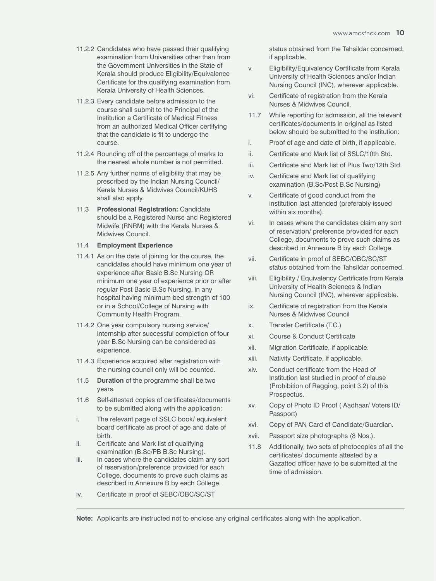- 11.2.2 Candidates who have passed their qualifying status obtained from the Tahsildar concerned,<br>examination from Universities other than from status obtained from the Tahsildar concerned, examination from Universities other than from the Government Universities in the State of Kerala should produce Eligibility/Equivalence Certificate for the qualifying examination from Kerala University of Health Sciences.
- 11.2.3 Every candidate before admission to the course shall submit to the Principal of the Institution a Certificate of Medical Fitness from an authorized Medical Officer certifying that the candidate is fit to undergo the course.
- 11.2.4 Rounding off of the percentage of marks to the nearest whole number is not permitted.
- 11.2.5 Any further norms of eligibility that may be prescribed by the Indian Nursing Council/ Kerala Nurses & Midwives Council/KUHS shall also apply.
- 11.3 **Professional Registration:** Candidate should be a Registered Nurse and Registered Midwife (RNRM) with the Kerala Nurses & Midwives Council.

#### 11.4 **Employment Experience**

- 11.4.1 As on the date of joining for the course, the candidates should have minimum one year of experience after Basic B.Sc Nursing OR minimum one year of experience prior or after regular Post Basic B.Sc Nursing, in any hospital having minimum bed strength of 100 or in a School/College of Nursing with Community Health Program.
- 11.4.2 One year compulsory nursing service/ internship after successful completion of four year B.Sc Nursing can be considered as experience.
- 11.4.3 Experience acquired after registration with the nursing council only will be counted.
- 11.5 **Duration** of the programme shall be two years.
- 11.6 Self-attested copies of certificates/documents to be submitted along with the application:
- i. The relevant page of SSLC book/ equivalent board certificate as proof of age and date of birth.
- ii. Certificate and Mark list of qualifying examination (B.Sc/PB B.Sc Nursing).
- iii. In cases where the candidates claim any sort of reservation/preference provided for each College, documents to prove such claims as described in Annexure B by each College.
- iv. Certificate in proof of SEBC/OBC/SC/ST

status obtained from the Tahsildar concerned, if applicable.

- v. Eligibility/Equivalency Certificate from Kerala University of Health Sciences and/or Indian Nursing Council (INC), wherever applicable.
- vi. Certificate of registration from the Kerala Nurses & Midwives Council.
- 11.7 While reporting for admission, all the relevant certificates/documents in original as listed below should be submitted to the institution:
- i. Proof of age and date of birth, if applicable.
- ii. Certificate and Mark list of SSLC/10th Std.
- iii. Certificate and Mark list of Plus Two/12th Std.
- iv. Certificate and Mark list of qualifying examination (B.Sc/Post B.Sc Nursing)
- v. Certificate of good conduct from the institution last attended (preferably issued within six months).
- vi. In cases where the candidates claim any sort of reservation/ preference provided for each College, documents to prove such claims as described in Annexure B by each College.
- vii. Certificate in proof of SEBC/OBC/SC/ST status obtained from the Tahsildar concerned.
- viii. Eligibility / Equivalency Certificate from Kerala University of Health Sciences & Indian Nursing Council (INC), wherever applicable.
- ix. Certificate of registration from the Kerala Nurses & Midwives Council
- x. Transfer Certificate (T.C.)
- xi. Course & Conduct Certificate
- xii. Migration Certificate, if applicable.
- xiii. Nativity Certificate, if applicable.
- xiv. Conduct certificate from the Head of Institution last studied in proof of clause (Prohibition of Ragging, point 3.2) of this Prospectus.
- xv. Copy of Photo ID Proof ( Aadhaar/ Voters ID/ Passport)
- xvi. Copy of PAN Card of Candidate/Guardian.
- xvii. Passport size photographs (8 Nos.).
- 11.8 Additionally, two sets of photocopies of all the certificates/ documents attested by a Gazatted officer have to be submitted at the time of admission.

**Note:** Applicants are instructed not to enclose any original certificates along with the application.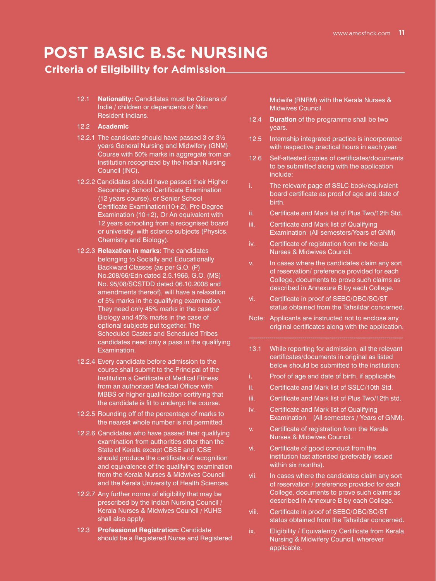## **POST BASIC B.Sc NURSING**

#### **Criteria of Eligibility for Admission**

- 12.1 **Nationality:** Candidates must be Citizens of India / children or dependents of Non Resident Indians.
- 12.2 **Academic**
- 12.2.1 The candidate should have passed 3 or 3½ years General Nursing and Midwifery (GNM) Course with 50% marks in aggregate from an institution recognized by the Indian Nursing Council (INC).
- 12.2.2 Candidates should have passed their Higher Secondary School Certificate Examination (12 years course), or Senior School Certificate Examination(10+2), Pre-Degree Examination (10+2), Or An equivalent with 12 years schooling from a recognised board or university, with science subjects (Physics, Chemistry and Biology).
- 12.2.3 **Relaxation in marks:** The candidates belonging to Socially and Educationally Backward Classes (as per G.O. (P) No.208/66/Edn dated 2.5.1966, G.O. (MS) No. 95/08/SCSTDD dated 06.10.2008 and amendments thereof), will have a relaxation of 5% marks in the qualifying examination. They need only 45% marks in the case of Biology and 45% marks in the case of optional subjects put together. The Scheduled Castes and Scheduled Tribes candidates need only a pass in the qualifying Examination.
- 12.2.4 Every candidate before admission to the course shall submit to the Principal of the Institution a Certificate of Medical Fitness from an authorized Medical Officer with MBBS or higher qualification certifying that the candidate is fit to undergo the course.
- 12.2.5 Rounding off of the percentage of marks to the nearest whole number is not permitted.
- 12.2.6 Candidates who have passed their qualifying examination from authorities other than the State of Kerala except CBSE and ICSE should produce the certificate of recognition and equivalence of the qualifying examination from the Kerala Nurses & Midwives Council and the Kerala University of Health Sciences.
- 12.2.7 Any further norms of eligibility that may be prescribed by the Indian Nursing Council / Kerala Nurses & Midwives Council / KUHS shall also apply.
- 12.3 **Professional Registration:** Candidate should be a Registered Nurse and Registered

Midwife (RNRM) with the Kerala Nurses & Midwives Council.

- 12.4 **Duration** of the programme shall be two years.
- 12.5 Internship integrated practice is incorporated with respective practical hours in each year.
- 12.6 Self-attested copies of certificates/documents to be submitted along with the application include:
- i. The relevant page of SSLC book/equivalent board certificate as proof of age and date of birth.
- ii. Certificate and Mark list of Plus Two/12th Std.
- iii. Certificate and Mark list of Qualifying Examination–(All semesters/Years of GNM)
- iv. Certificate of registration from the Kerala Nurses & Midwives Council.
- v. In cases where the candidates claim any sort of reservation/ preference provided for each College, documents to prove such claims as described in Annexure B by each College.
- vi. Certificate in proof of SEBC/OBC/SC/ST status obtained from the Tahsildar concerned.
- Note: Applicants are instructed not to enclose any original certificates along with the application.
- 13.1 While reporting for admission, all the relevant certificates/documents in original as listed below should be submitted to the institution:
- i. Proof of age and date of birth, if applicable.
- ii. Certificate and Mark list of SSLC/10th Std.
- iii. Certificate and Mark list of Plus Two/12th std.
- iv. Certificate and Mark list of Qualifying Examination – (All semesters / Years of GNM).
- v. Certificate of registration from the Kerala Nurses & Midwives Council.
- vi. Certificate of good conduct from the institution last attended (preferably issued within six months).
- vii. In cases where the candidates claim any sort of reservation / preference provided for each College, documents to prove such claims as described in Annexure B by each College.
- viii. Certificate in proof of SEBC/OBC/SC/ST status obtained from the Tahsildar concerned.
- ix. Eligibility / Equivalency Certificate from Kerala Nursing & Midwifery Council, wherever applicable.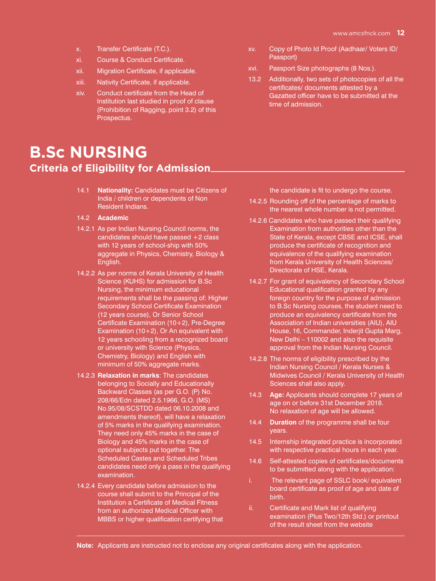- x. Transfer Certificate (T.C.).
- xi. Course & Conduct Certificate.
- xii. Migration Certificate, if applicable.
- xiii. Nativity Certificate, if applicable.
- xiv. Conduct certificate from the Head of Institution last studied in proof of clause (Prohibition of Ragging, point 3.2) of this Prospectus.

### **Criteria of Eligibility for Admission B.Sc NURSING**

- 14.1 **Nationality:** Candidates must be Citizens of India / children or dependents of Non Resident Indians.
- 14.2 **Academic**
- 14.2.1 As per Indian Nursing Council norms, the candidates should have passed +2 class with 12 years of school-ship with 50% aggregate in Physics, Chemistry, Biology & English.
- 14.2.2 As per norms of Kerala University of Health Science (KUHS) for admission for B.Sc Nursing, the minimum educational requirements shall be the passing of: Higher Secondary School Certificate Examination (12 years course), Or Senior School Certificate Examination (10+2), Pre-Degree Examination (10+2), Or An equivalent with 12 years schooling from a recognized board or university with Science (Physics, Chemistry, Biology) and English with minimum of 50% aggregate marks.
- 14.2.3 **Relaxation in marks**: The candidates belonging to Socially and Educationally Backward Classes (as per G.O. (P) No. 208/66/Edn dated 2.5.1966, G.O. (MS) No.95/08/SCSTDD dated 06.10.2008 and amendments thereof), will have a relaxation of 5% marks in the qualifying examination. They need only 45% marks in the case of Biology and 45% marks in the case of optional subjects put together. The Scheduled Castes and Scheduled Tribes candidates need only a pass in the qualifying examination.
- 14.2.4 Every candidate before admission to the course shall submit to the Principal of the Institution a Certificate of Medical Fitness from an authorized Medical Officer with MBBS or higher qualification certifying that
- xv. Copy of Photo Id Proof (Aadhaar/ Voters ID/ Passport)
- xvi. Passport Size photographs (8 Nos.).
- 13.2 Additionally, two sets of photocopies of all the certificates/ documents attested by a Gazatted officer have to be submitted at the time of admission.

the candidate is fit to undergo the course.

- 14.2.5 Rounding off of the percentage of marks to the nearest whole number is not permitted.
- 14.2.6 Candidates who have passed their qualifying Examination from authorities other than the State of Kerala, except CBSE and ICSE, shall produce the certificate of recognition and equivalence of the qualifying examination from Kerala University of Health Sciences/ Directorate of HSE, Kerala.
- 14.2.7 For grant of equivalency of Secondary School Educational qualification granted by any foreign country for the purpose of admission to B.Sc Nursing courses, the student need to produce an equivalency certificate from the Association of Indian universities (AIU), AIU House, 16, Commander, Inderjit Gupta Marg, New Delhi – 110002 and also the requisite approval from the Indian Nursing Council.
- 14.2.8 The norms of eligibility prescribed by the Indian Nursing Council / Kerala Nurses & Midwives Council / Kerala University of Health Sciences shall also apply.
- 14.3 **Age:** Applicants should complete 17 years of age on or before 31st December 2018. No relaxation of age will be allowed.
- 14.4 **Duration** of the programme shall be four years.
- 14.5 Internship integrated practice is incorporated with respective practical hours in each year.
- 14.6 Self-attested copies of certificates/documents to be submitted along with the application:
- i. The relevant page of SSLC book/ equivalent board certificate as proof of age and date of birth.
- ii. Certificate and Mark list of qualifying examination (Plus Two/12th Std.) or printout of the result sheet from the website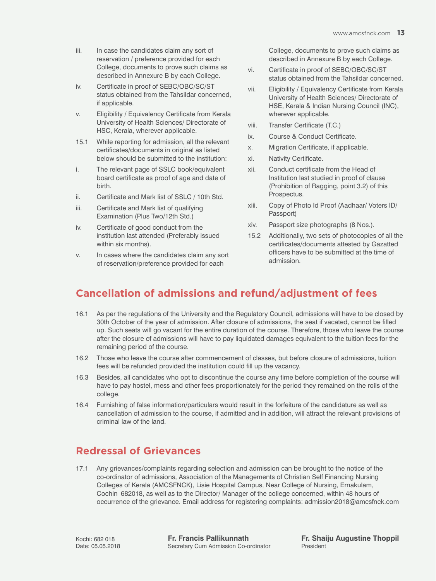- iii. In case the candidates claim any sort of reservation / preference provided for each College, documents to prove such claims as described in Annexure B by each College.
- iv. Certificate in proof of SEBC/OBC/SC/ST status obtained from the Tahsildar concerned, if applicable.
- v. Eligibility / Equivalency Certificate from Kerala University of Health Sciences/ Directorate of HSC, Kerala, wherever applicable.
- 15.1 While reporting for admission, all the relevant certificates/documents in original as listed below should be submitted to the institution:
- i. The relevant page of SSLC book/equivalent board certificate as proof of age and date of birth.
- ii. Certificate and Mark list of SSLC / 10th Std.
- iii. Certificate and Mark list of qualifying Examination (Plus Two/12th Std.)
- iv. Certificate of good conduct from the institution last attended (Preferably issued within six months).
- v. In cases where the candidates claim any sort of reservation/preference provided for each

College, documents to prove such claims as described in Annexure B by each College.

- vi. Certificate in proof of SEBC/OBC/SC/ST status obtained from the Tahsildar concerned.
- vii. Eligibility / Equivalency Certificate from Kerala University of Health Sciences/ Directorate of HSE, Kerala & Indian Nursing Council (INC), wherever applicable.
- viii. Transfer Certificate (T.C.)
- ix. Course & Conduct Certificate.
- x. Migration Certificate, if applicable.
- xi. Nativity Certificate.
- xii. Conduct certificate from the Head of Institution last studied in proof of clause (Prohibition of Ragging, point 3.2) of this Prospectus.
- xiii. Copy of Photo Id Proof (Aadhaar/ Voters ID/ Passport)
- xiv. Passport size photographs (8 Nos.).
- 15.2 Additionally, two sets of photocopies of all the certificates/documents attested by Gazatted officers have to be submitted at the time of admission.

### **Cancellation of admissions and refund/adjustment of fees**

- 16.1 As per the regulations of the University and the Regulatory Council, admissions will have to be closed by 30th October of the year of admission. After closure of admissions, the seat if vacated, cannot be filled up. Such seats will go vacant for the entire duration of the course. Therefore, those who leave the course after the closure of admissions will have to pay liquidated damages equivalent to the tuition fees for the remaining period of the course.
- 16.2 Those who leave the course after commencement of classes, but before closure of admissions, tuition fees will be refunded provided the institution could fill up the vacancy.
- 16.3 Besides, all candidates who opt to discontinue the course any time before completion of the course will have to pay hostel, mess and other fees proportionately for the period they remained on the rolls of the college.
- 16.4 Furnishing of false information/particulars would result in the forfeiture of the candidature as well as cancellation of admission to the course, if admitted and in addition, will attract the relevant provisions of criminal law of the land.

### **Redressal of Grievances**

17.1 Any grievances/complaints regarding selection and admission can be brought to the notice of the co-ordinator of admissions, Association of the Managements of Christian Self Financing Nursing Colleges of Kerala (AMCSFNCK), Lisie Hospital Campus, Near College of Nursing, Ernakulam, Cochin–682018, as well as to the Director/ Manager of the college concerned, within 48 hours of occurrence of the grievance. Email address for registering complaints: admission2018@amcsfnck.com